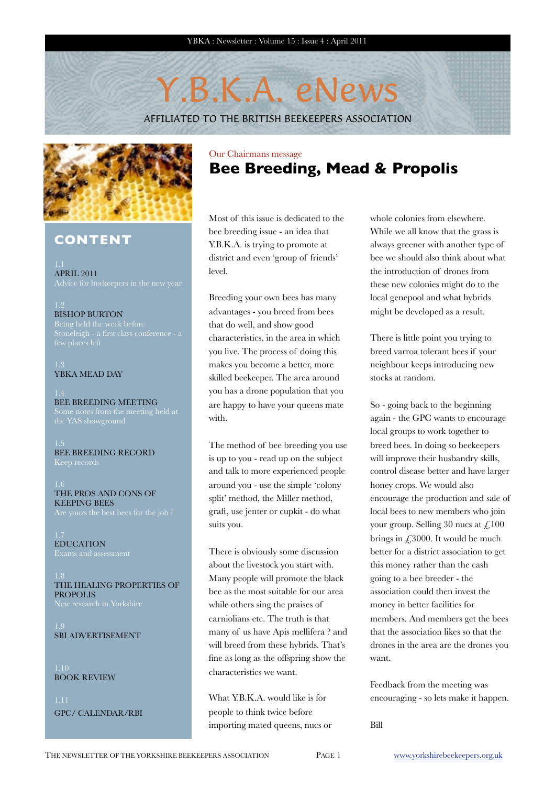# Y.B.K.A. eNews

AFFILIATED TO THE BRITISH BEEKEEPERS ASSOCIATION



### **CONTENT**

APRIL 2011

# BISHOP BURTON

# YBKA MEAD DAY

BEE BREEDING MEETING

BEE BREEDING RECORD

THE PROS AND CONS OF KEEPING BEES

EDUCATION

THE HEALING PROPERTIES OF PROPOLIS

SBI ADVERTISEMENT

BOOK REVIEW

GPC/ CALENDAR/RBI

### Our Chairmans message **Bee Breeding, Mead & Propolis**

Most of this issue is dedicated to the bee breeding issue - an idea that Y.B.K.A. is trying to promote at district and even 'group of friends' level.

Breeding your own bees has many advantages - you breed from bees that do well, and show good characteristics, in the area in which you live. The process of doing this makes you become a better, more skilled beekeeper. The area around you has a drone population that you are happy to have your queens mate with.

The method of bee breeding you use is up to you - read up on the subject and talk to more experienced people around you - use the simple 'colony split' method, the Miller method, graft, use jenter or cupkit - do what suits you.

There is obviously some discussion about the livestock you start with. Many people will promote the black bee as the most suitable for our area while others sing the praises of carniolians etc. The truth is that many of us have Apis mellifera ? and will breed from these hybrids. That's fine as long as the offspring show the characteristics we want.

What Y.B.K.A. would like is for people to think twice before importing mated queens, nucs or whole colonies from elsewhere. While we all know that the grass is always greener with another type of bee we should also think about what the introduction of drones from these new colonies might do to the local genepool and what hybrids might be developed as a result.

There is little point you trying to breed varroa tolerant bees if your neighbour keeps introducing new stocks at random.

So - going back to the beginning again - the GPC wants to encourage local groups to work together to breed bees. In doing so beekeepers will improve their husbandry skills, control disease better and have larger honey crops. We would also encourage the production and sale of local bees to new members who join your group. Selling 30 nucs at  $\text{\textsterling}100$ brings in £3000. It would be much better for a district association to get this money rather than the cash going to a bee breeder - the association could then invest the money in better facilities for members. And members get the bees that the association likes so that the drones in the area are the drones you want.

Feedback from the meeting was encouraging - so lets make it happen.

Bill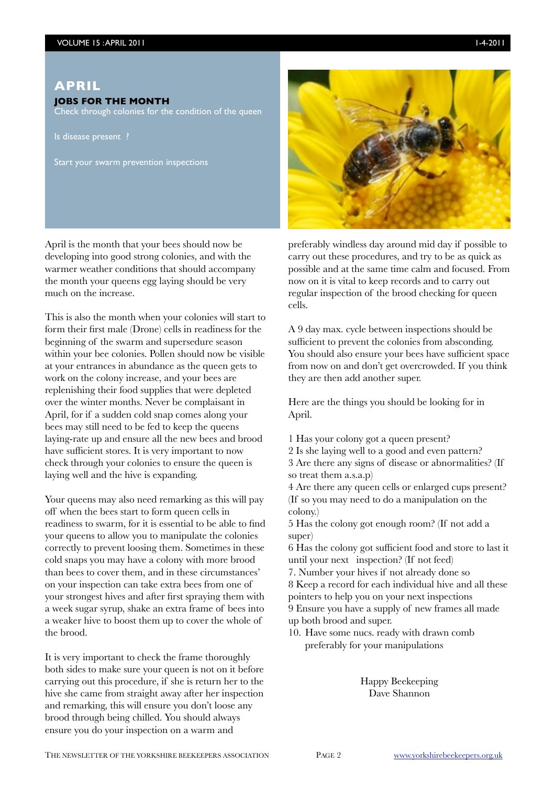#### **APRIL**

#### **JOBS FOR THE MONTH**

Check through colonies for the condition of the queen

Is disease present ?

Start your swarm prevention inspections

April is the month that your bees should now be developing into good strong colonies, and with the warmer weather conditions that should accompany the month your queens egg laying should be very much on the increase.

This is also the month when your colonies will start to form their first male (Drone) cells in readiness for the beginning of the swarm and supersedure season within your bee colonies. Pollen should now be visible at your entrances in abundance as the queen gets to work on the colony increase, and your bees are replenishing their food supplies that were depleted over the winter months. Never be complaisant in April, for if a sudden cold snap comes along your bees may still need to be fed to keep the queens laying-rate up and ensure all the new bees and brood have sufficient stores. It is very important to now check through your colonies to ensure the queen is laying well and the hive is expanding.

Your queens may also need remarking as this will pay off when the bees start to form queen cells in readiness to swarm, for it is essential to be able to find your queens to allow you to manipulate the colonies correctly to prevent loosing them. Sometimes in these cold snaps you may have a colony with more brood than bees to cover them, and in these circumstances' on your inspection can take extra bees from one of your strongest hives and after first spraying them with a week sugar syrup, shake an extra frame of bees into a weaker hive to boost them up to cover the whole of the brood.

It is very important to check the frame thoroughly both sides to make sure your queen is not on it before carrying out this procedure, if she is return her to the hive she came from straight away after her inspection and remarking, this will ensure you don't loose any brood through being chilled. You should always ensure you do your inspection on a warm and



preferably windless day around mid day if possible to carry out these procedures, and try to be as quick as possible and at the same time calm and focused. From now on it is vital to keep records and to carry out regular inspection of the brood checking for queen cells.

A 9 day max. cycle between inspections should be sufficient to prevent the colonies from absconding. You should also ensure your bees have sufficient space from now on and don't get overcrowded. If you think they are then add another super.

Here are the things you should be looking for in April.

1 Has your colony got a queen present?

2 Is she laying well to a good and even pattern? 3 Are there any signs of disease or abnormalities? (If so treat them a.s.a.p)

4 Are there any queen cells or enlarged cups present? (If so you may need to do a manipulation on the colony.)

5 Has the colony got enough room? (If not add a super)

6 Has the colony got sufficient food and store to last it until your next inspection? (If not feed)

7. Number your hives if not already done so 8 Keep a record for each individual hive and all these

pointers to help you on your next inspections

9 Ensure you have a supply of new frames all made up both brood and super.

10. Have some nucs. ready with drawn comb preferably for your manipulations

> Happy Beekeeping Dave Shannon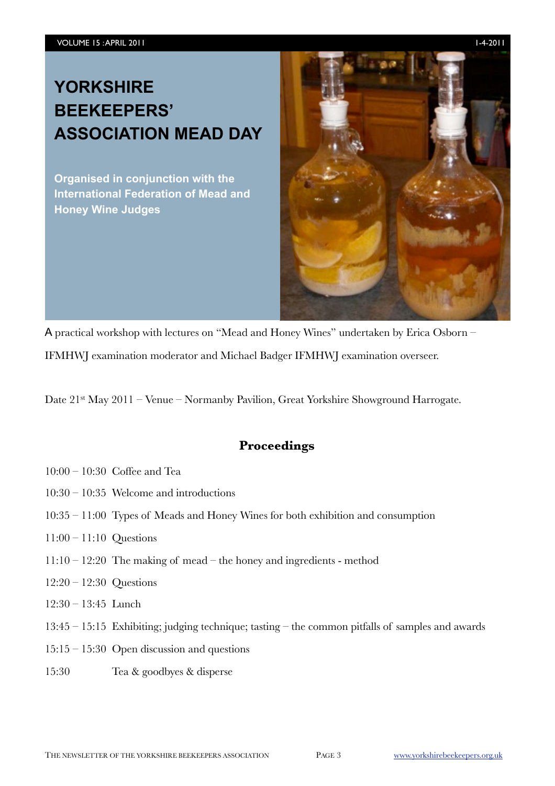# **YORKSHIRE BEEKEEPERS' ASSOCIATION MEAD DAY**

**Organised in conjunction with the International Federation of Mead and Honey Wine Judges**



A practical workshop with lectures on "Mead and Honey Wines" undertaken by Erica Osborn –

IFMHWJ examination moderator and Michael Badger IFMHWJ examination overseer.

Date 21<sup>st</sup> May 2011 – Venue – Normanby Pavilion, Great Yorkshire Showground Harrogate.

### **Proceedings**

- 10:00 10:30 Coffee and Tea
- 10:30 10:35 Welcome and introductions
- 10:35 11:00 Types of Meads and Honey Wines for both exhibition and consumption
- 11:00 11:10 Questions
- 11:10 12:20 The making of mead the honey and ingredients method
- 12:20 12:30 Questions
- 12:30 13:45 Lunch
- 13:45 15:15 Exhibiting; judging technique; tasting the common pitfalls of samples and awards
- 15:15 15:30 Open discussion and questions
- 15:30 Tea & goodbyes & disperse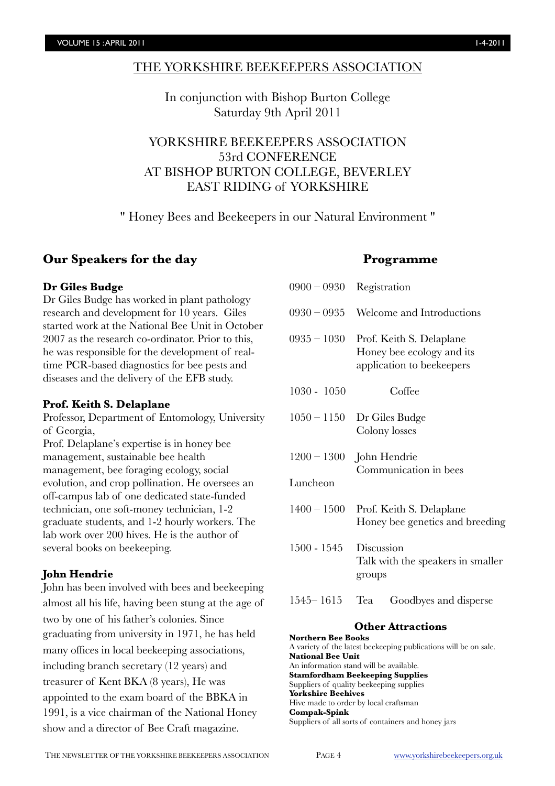#### THE YORKSHIRE BEEKEEPERS ASSOCIATION

In conjunction with Bishop Burton College Saturday 9th April 2011

YORKSHIRE BEEKEEPERS ASSOCIATION 53rd CONFERENCE AT BISHOP BURTON COLLEGE, BEVERLEY EAST RIDING of YORKSHIRE

" Honey Bees and Beekeepers in our Natural Environment "

### **Our Speakers for the day**

#### **Dr Giles Budge**

Dr Giles Budge has worked in plant pathology research and development for 10 years. Giles started work at the National Bee Unit in October 2007 as the research co-ordinator. Prior to this, he was responsible for the development of realtime PCR-based diagnostics for bee pests and diseases and the delivery of the EFB study.

#### **Prof. Keith S. Delaplane**

Professor, Department of Entomology, University of Georgia,

Prof. Delaplane's expertise is in honey bee management, sustainable bee health management, bee foraging ecology, social evolution, and crop pollination. He oversees an off-campus lab of one dedicated state-funded technician, one soft-money technician, 1-2 graduate students, and 1-2 hourly workers. The lab work over 200 hives. He is the author of several books on beekeeping.

### **John Hendrie**

John has been involved with bees and beekeeping almost all his life, having been stung at the age of two by one of his father's colonies. Since graduating from university in 1971, he has held many offices in local beekeeping associations, including branch secretary (12 years) and treasurer of Kent BKA (8 years), He was appointed to the exam board of the BBKA in 1991, is a vice chairman of the National Honey show and a director of Bee Craft magazine.

#### **Programme**

| $0900-0930$<br>Registration                                                                         |
|-----------------------------------------------------------------------------------------------------|
| $0930 - 0935$<br>Welcome and Introductions                                                          |
| $0935 - 1030$<br>Prof. Keith S. Delaplane<br>Honey bee ecology and its<br>application to beekeepers |
| Coffee                                                                                              |
| $1050 - 1150$<br>Dr Giles Budge<br>Colony losses                                                    |
| $1200 - 1300$ John Hendrie<br>Communication in bees                                                 |
|                                                                                                     |
| $1400 - 1500$<br>Prof. Keith S. Delaplane<br>Honey bee genetics and breeding                        |
| Discussion<br>Talk with the speakers in smaller<br>groups                                           |
| Tea<br>Goodbyes and disperse                                                                        |
|                                                                                                     |

#### **Other Attractions**

**Northern Bee Books** A variety of the latest beekeeping publications will be on sale. **National Bee Unit**  An information stand will be available. **Stamfordham Beekeeping Supplies** Suppliers of quality beekeeping supplies **Yorkshire Beehives** Hive made to order by local craftsman **Compak-Spink** Suppliers of all sorts of containers and honey jars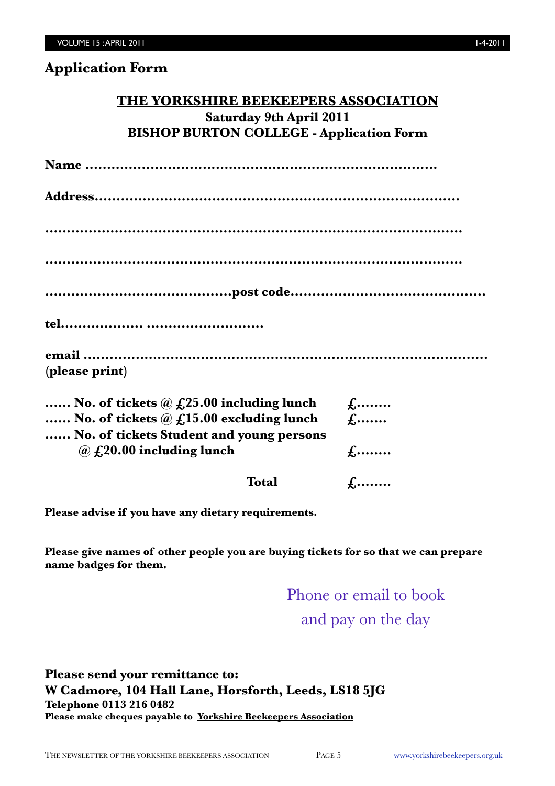## **THE YORKSHIRE BEEKEEPERS ASSOCIATION Saturday 9th April 2011 BISHOP BURTON COLLEGE - Application Form**

**Name ………………………………………………………………………**

**Address…………………………………………………………………………**

**……………………………………………………………………………………**

**……………………………………………………………………………………**

**…….………………………………post code………………………………………**

**tel………………. ………………………**

| (please print) |  |  |
|----------------|--|--|

| No. of tickets $\omega$ $f(25.00)$ including lunch | $f, \ldots$  |
|----------------------------------------------------|--------------|
| No. of tickets $\omega$ $f(15.00)$ excluding lunch | $f_1$        |
| No. of tickets Student and young persons           |              |
| $\omega$ £,20.00 including lunch                   | $f_{\cdots}$ |
|                                                    |              |

**Total**  $\qquad \qquad$ **f........** 

**Please advise if you have any dietary requirements.**

**Please give names of other people you are buying tickets for so that we can prepare name badges for them.**

> Phone or email to book and pay on the day

**Please send your remittance to: W Cadmore, 104 Hall Lane, Horsforth, Leeds, LS18 5JG Telephone 0113 216 0482 Please make cheques payable to Yorkshire Beekeepers Association**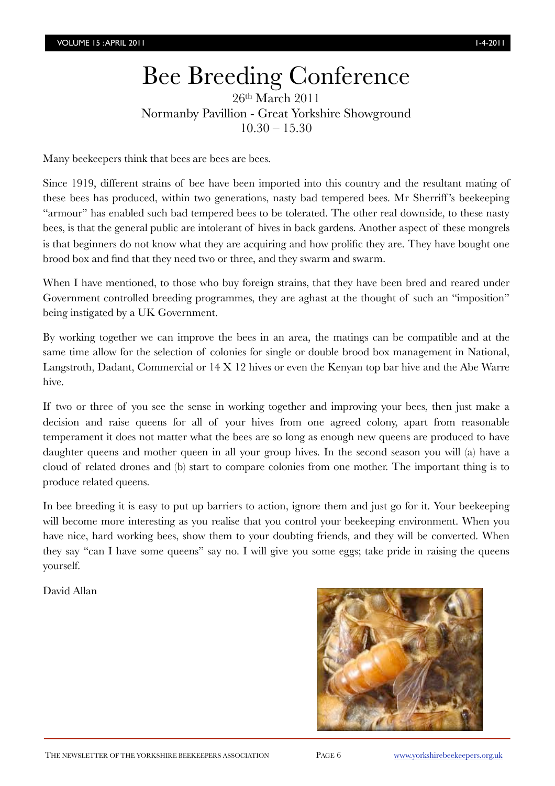# Bee Breeding Conference

26th March 2011 Normanby Pavillion - Great Yorkshire Showground  $10.30 - 15.30$ 

Many beekeepers think that bees are bees are bees.

Since 1919, different strains of bee have been imported into this country and the resultant mating of these bees has produced, within two generations, nasty bad tempered bees. Mr Sherriff 's beekeeping "armour" has enabled such bad tempered bees to be tolerated. The other real downside, to these nasty bees, is that the general public are intolerant of hives in back gardens. Another aspect of these mongrels is that beginners do not know what they are acquiring and how prolific they are. They have bought one brood box and find that they need two or three, and they swarm and swarm.

When I have mentioned, to those who buy foreign strains, that they have been bred and reared under Government controlled breeding programmes, they are aghast at the thought of such an "imposition" being instigated by a UK Government.

By working together we can improve the bees in an area, the matings can be compatible and at the same time allow for the selection of colonies for single or double brood box management in National, Langstroth, Dadant, Commercial or 14 X 12 hives or even the Kenyan top bar hive and the Abe Warre hive.

If two or three of you see the sense in working together and improving your bees, then just make a decision and raise queens for all of your hives from one agreed colony, apart from reasonable temperament it does not matter what the bees are so long as enough new queens are produced to have daughter queens and mother queen in all your group hives. In the second season you will (a) have a cloud of related drones and (b) start to compare colonies from one mother. The important thing is to produce related queens.

In bee breeding it is easy to put up barriers to action, ignore them and just go for it. Your beekeeping will become more interesting as you realise that you control your beekeeping environment. When you have nice, hard working bees, show them to your doubting friends, and they will be converted. When they say "can I have some queens" say no. I will give you some eggs; take pride in raising the queens yourself.

David Allan

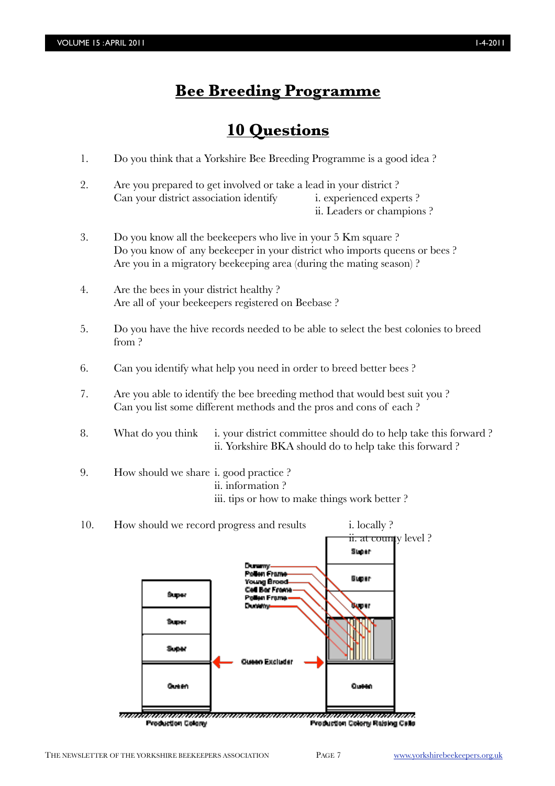# **Bee Breeding Programme**

## **10 Questions**

- 1. Do you think that a Yorkshire Bee Breeding Programme is a good idea ?
- 2. Are you prepared to get involved or take a lead in your district ? Can your district association identify i. experienced experts ? ii. Leaders or champions ?
- 3. Do you know all the beekeepers who live in your 5 Km square ? Do you know of any beekeeper in your district who imports queens or bees ? Are you in a migratory beekeeping area (during the mating season) ?
- 4. Are the bees in your district healthy ? Are all of your beekeepers registered on Beebase ?
- 5. Do you have the hive records needed to be able to select the best colonies to breed from ?
- 6. Can you identify what help you need in order to breed better bees ?
- 7. Are you able to identify the bee breeding method that would best suit you ? Can you list some different methods and the pros and cons of each ?
- 8. What do you think i. your district committee should do to help take this forward ? ii. Yorkshire BKA should do to help take this forward ?
- 9. How should we share i. good practice ? ii. information ? iii. tips or how to make things work better ?
- 10. How should we record progress and results i. locally ? ii. at county level ? Slaber Pollen Frame **Super Young Broad** Cell Bar Frame Вире. en Frame **Malafons** Super Эмрен Super **Oueen Excluder** Outlett Queen ,,,,,,,,,,,,,,,,,,,,,, ,,,,,,,,,,,,,,,,,,,,,,,,,, Production Colony Production Colony Raising Calls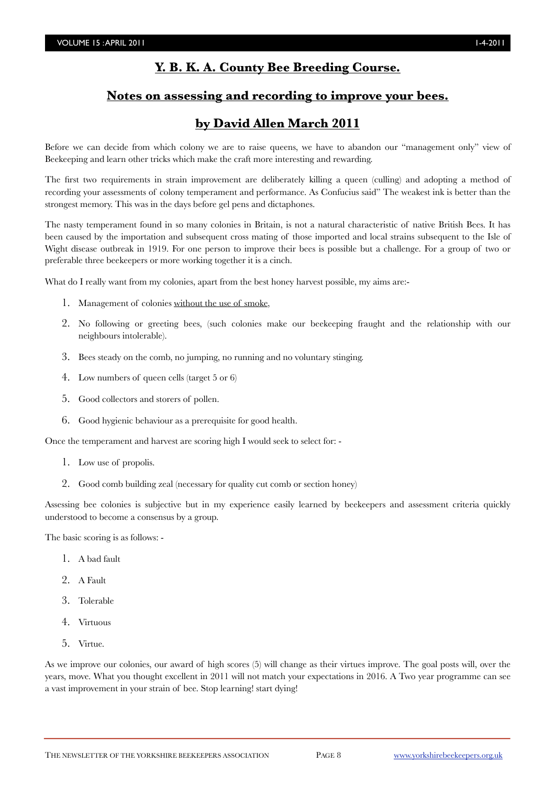### **Y. B. K. A. County Bee Breeding Course.**

### **Notes on assessing and recording to improve your bees.**

### **by David Allen March 2011**

Before we can decide from which colony we are to raise queens, we have to abandon our "management only" view of Beekeeping and learn other tricks which make the craft more interesting and rewarding.

The first two requirements in strain improvement are deliberately killing a queen (culling) and adopting a method of recording your assessments of colony temperament and performance. As Confucius said" The weakest ink is better than the strongest memory. This was in the days before gel pens and dictaphones.

The nasty temperament found in so many colonies in Britain, is not a natural characteristic of native British Bees. It has been caused by the importation and subsequent cross mating of those imported and local strains subsequent to the Isle of Wight disease outbreak in 1919. For one person to improve their bees is possible but a challenge. For a group of two or preferable three beekeepers or more working together it is a cinch.

What do I really want from my colonies, apart from the best honey harvest possible, my aims are:-

- 1. Management of colonies without the use of smoke,
- 2. No following or greeting bees, (such colonies make our beekeeping fraught and the relationship with our neighbours intolerable).
- 3. Bees steady on the comb, no jumping, no running and no voluntary stinging.
- 4. Low numbers of queen cells (target 5 or 6)
- 5. Good collectors and storers of pollen.
- 6. Good hygienic behaviour as a prerequisite for good health.

Once the temperament and harvest are scoring high I would seek to select for: -

- 1. Low use of propolis.
- 2. Good comb building zeal (necessary for quality cut comb or section honey)

Assessing bee colonies is subjective but in my experience easily learned by beekeepers and assessment criteria quickly understood to become a consensus by a group.

The basic scoring is as follows: -

- 1. A bad fault
- 2. A Fault
- 3. Tolerable
- 4. Virtuous
- 5. Virtue.

As we improve our colonies, our award of high scores (5) will change as their virtues improve. The goal posts will, over the years, move. What you thought excellent in 2011 will not match your expectations in 2016. A Two year programme can see a vast improvement in your strain of bee. Stop learning! start dying!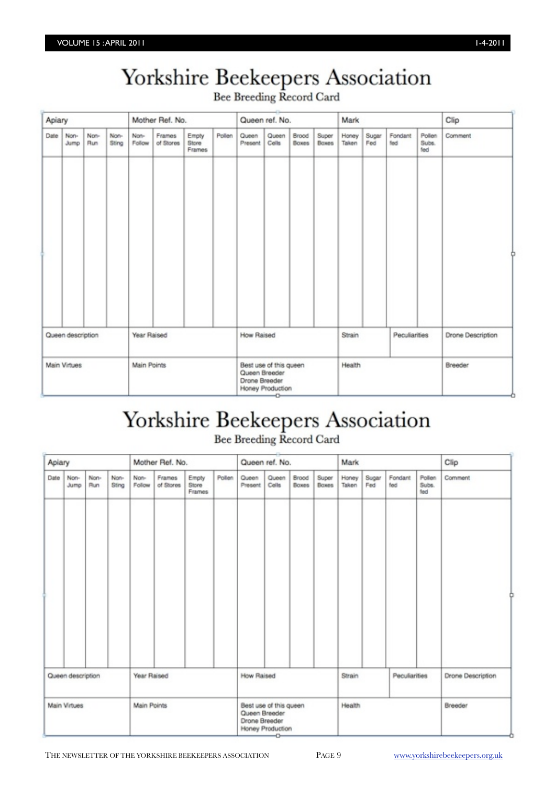# Yorkshire Beekeepers Association

Bee Breeding Record Card

| Apiary |                   |             |               | Mother Ref. No. |                     |                          | Queen ref. No.<br>Mark |                                                                                     |                | Clip                  |                |                |              |                |                        |                   |
|--------|-------------------|-------------|---------------|-----------------|---------------------|--------------------------|------------------------|-------------------------------------------------------------------------------------|----------------|-----------------------|----------------|----------------|--------------|----------------|------------------------|-------------------|
| Date   | Non-<br>Jump      | Non-<br>Run | Non-<br>Sting | Non-<br>Follow  | Frames<br>of Stores | Empty<br>Store<br>Frames | Pollen                 | Queen<br>Present                                                                    | Queen<br>Cells | Brood<br><b>Boxes</b> | Super<br>Boxes | Honey<br>Taken | Sugar<br>Fed | Fondant<br>fed | Pollen<br>Subs.<br>fed | Comment           |
|        |                   |             |               |                 |                     |                          |                        |                                                                                     |                |                       |                |                |              |                |                        |                   |
|        |                   |             |               |                 |                     |                          |                        |                                                                                     |                |                       |                |                |              |                |                        |                   |
|        | Queen description |             |               | Year Raised     |                     |                          |                        | <b>How Raised</b>                                                                   |                |                       |                | Strain         |              | Peculiarities  |                        | Drone Description |
|        | Main Virtues      |             |               | Main Points     |                     |                          |                        | Best use of this queen<br>Queen Breeder<br>Drone Breeder<br>Honey Production<br>$-$ |                |                       | Health         |                |              |                | Breeder                |                   |

# Yorkshire Beekeepers Association

Bee Breeding Record Card

|      | Apiary            |             |               | Mother Ref. No. |                     |                          |        | Queen ref. No.<br>Mark |                                                                                             |                       |                       | Clip           |                      |                 |                        |         |  |
|------|-------------------|-------------|---------------|-----------------|---------------------|--------------------------|--------|------------------------|---------------------------------------------------------------------------------------------|-----------------------|-----------------------|----------------|----------------------|-----------------|------------------------|---------|--|
| Date | Non-<br>Jump.     | Non-<br>Run | Non-<br>Sting | Non-<br>Follow  | Frames<br>of Stores | Empty<br>Store<br>Frames | Pollen | Queen<br>Present       | Queen<br>Cells                                                                              | Brood<br><b>Boxes</b> | Super<br><b>Boxes</b> | Honey<br>Taken | Sugar<br>Fed         | Fondant<br>fled | Pollen<br>Subs.<br>fed | Comment |  |
|      |                   |             |               |                 |                     |                          |        |                        |                                                                                             |                       |                       |                |                      |                 |                        |         |  |
|      | Queen description |             |               | Year Raised     |                     |                          |        |                        | <b>How Raised</b>                                                                           |                       | Strain                |                | <b>Peculiarities</b> |                 | Drone Description      |         |  |
|      | Main Virtues      |             |               | Main Points     |                     |                          |        |                        | Best use of this queen<br>Health<br>Queen Breeder<br>Drone Breeder<br>Honey Production<br>÷ |                       |                       | Breeder        |                      |                 |                        |         |  |

THE NEWSLETTER OF THE YORKSHIRE BEEKEEPERS ASSOCIATION PAGE 9 [www.yorkshirebeekeepers.org.uk](http://www.yorkshirebeekeepers.org.uk)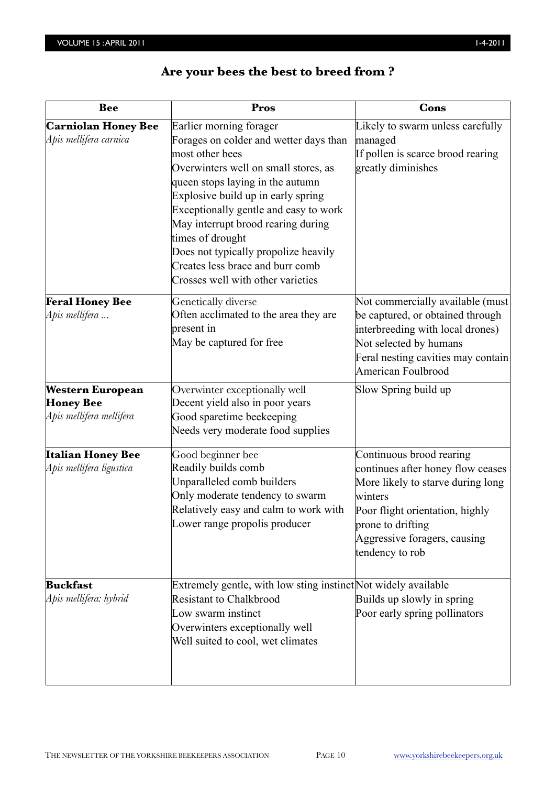# **Are your bees the best to breed from ?**

| <b>Bee</b>                                                              | Pros                                                                                                                                                                                                                                                                                                                                                                                                                       | Cons                                                                                                                                                                                                                     |
|-------------------------------------------------------------------------|----------------------------------------------------------------------------------------------------------------------------------------------------------------------------------------------------------------------------------------------------------------------------------------------------------------------------------------------------------------------------------------------------------------------------|--------------------------------------------------------------------------------------------------------------------------------------------------------------------------------------------------------------------------|
| <b>Carniolan Honey Bee</b><br>Apis mellifera carnica                    | Earlier morning forager<br>Forages on colder and wetter days than<br>most other bees<br>Overwinters well on small stores, as<br>queen stops laying in the autumn<br>Explosive build up in early spring<br>Exceptionally gentle and easy to work<br>May interrupt brood rearing during<br>times of drought<br>Does not typically propolize heavily<br>Creates less brace and burr comb<br>Crosses well with other varieties | Likely to swarm unless carefully<br>managed<br>If pollen is scarce brood rearing<br>greatly diminishes                                                                                                                   |
| <b>Feral Honey Bee</b><br>Apis mellifera                                | Genetically diverse<br>Often acclimated to the area they are<br>present in<br>May be captured for free                                                                                                                                                                                                                                                                                                                     | Not commercially available (must<br>be captured, or obtained through<br>interbreeding with local drones)<br>Not selected by humans<br>Feral nesting cavities may contain<br>American Foulbrood                           |
| <b>Western European</b><br><b>Honey Bee</b><br>Apis mellifera mellifera | Overwinter exceptionally well<br>Decent yield also in poor years<br>Good sparetime beekeeping<br>Needs very moderate food supplies                                                                                                                                                                                                                                                                                         | Slow Spring build up                                                                                                                                                                                                     |
| <b>Italian Honey Bee</b><br>Apis mellifera ligustica                    | Good beginner bee<br>Readily builds comb<br>Unparalleled comb builders<br>Only moderate tendency to swarm<br>Relatively easy and calm to work with<br>Lower range propolis producer                                                                                                                                                                                                                                        | Continuous brood rearing<br>continues after honey flow ceases<br>More likely to starve during long<br>winters<br>Poor flight orientation, highly<br>prone to drifting<br>Aggressive foragers, causing<br>tendency to rob |
| <b>Buckfast</b><br>Apis mellifera: hybrid                               | Extremely gentle, with low sting instinct Not widely available<br><b>Resistant to Chalkbrood</b><br>Low swarm instinct<br>Overwinters exceptionally well<br>Well suited to cool, wet climates                                                                                                                                                                                                                              | Builds up slowly in spring<br>Poor early spring pollinators                                                                                                                                                              |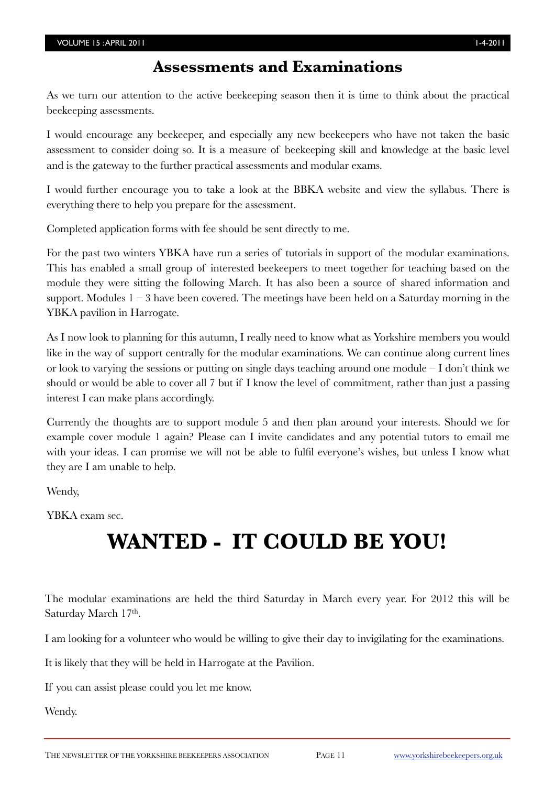### **Assessments and Examinations**

As we turn our attention to the active beekeeping season then it is time to think about the practical beekeeping assessments.

I would encourage any beekeeper, and especially any new beekeepers who have not taken the basic assessment to consider doing so. It is a measure of beekeeping skill and knowledge at the basic level and is the gateway to the further practical assessments and modular exams.

I would further encourage you to take a look at the BBKA website and view the syllabus. There is everything there to help you prepare for the assessment.

Completed application forms with fee should be sent directly to me.

For the past two winters YBKA have run a series of tutorials in support of the modular examinations. This has enabled a small group of interested beekeepers to meet together for teaching based on the module they were sitting the following March. It has also been a source of shared information and support. Modules  $1 - 3$  have been covered. The meetings have been held on a Saturday morning in the YBKA pavilion in Harrogate.

As I now look to planning for this autumn, I really need to know what as Yorkshire members you would like in the way of support centrally for the modular examinations. We can continue along current lines or look to varying the sessions or putting on single days teaching around one module  $-I$  don't think we should or would be able to cover all 7 but if I know the level of commitment, rather than just a passing interest I can make plans accordingly.

Currently the thoughts are to support module 5 and then plan around your interests. Should we for example cover module 1 again? Please can I invite candidates and any potential tutors to email me with your ideas. I can promise we will not be able to fulfil everyone's wishes, but unless I know what they are I am unable to help.

Wendy,

YBKA exam sec.

# **WANTED - IT COULD BE YOU!**

The modular examinations are held the third Saturday in March every year. For 2012 this will be Saturday March 17th.

I am looking for a volunteer who would be willing to give their day to invigilating for the examinations.

It is likely that they will be held in Harrogate at the Pavilion.

If you can assist please could you let me know.

Wendy.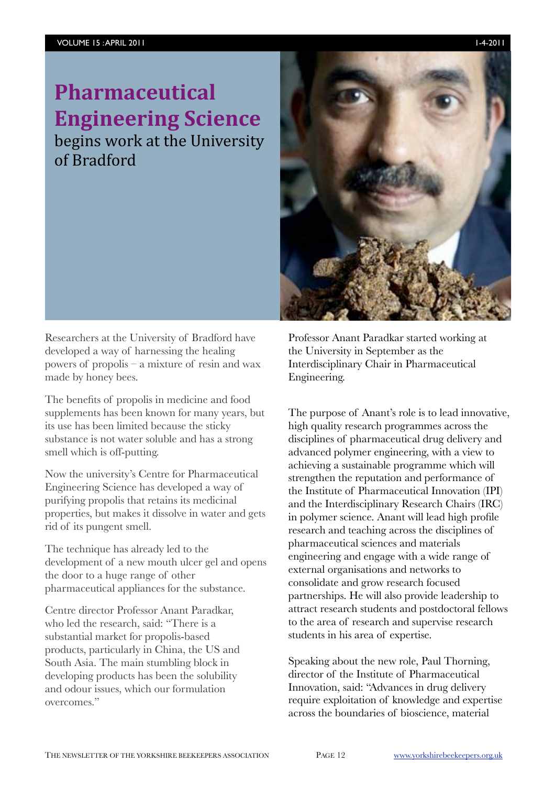of
Bradford



Researchers at the University of Bradford have developed a way of harnessing the healing powers of propolis – a mixture of resin and wax made by honey bees.

The benefits of propolis in medicine and food supplements has been known for many years, but its use has been limited because the sticky substance is not water soluble and has a strong smell which is off-putting.

Now the university's Centre for Pharmaceutical Engineering Science has developed a way of purifying propolis that retains its medicinal properties, but makes it dissolve in water and gets rid of its pungent smell.

The technique has already led to the development of a new mouth ulcer gel and opens the door to a huge range of other pharmaceutical appliances for the substance.

Centre director Professor Anant Paradkar, who led the research, said: "There is a substantial market for propolis-based products, particularly in China, the US and South Asia. The main stumbling block in developing products has been the solubility and odour issues, which our formulation overcomes."

Professor Anant Paradkar started working at the University in September as the Interdisciplinary Chair in Pharmaceutical Engineering.

The purpose of Anant's role is to lead innovative, high quality research programmes across the disciplines of pharmaceutical drug delivery and advanced polymer engineering, with a view to achieving a sustainable programme which will strengthen the reputation and performance of the Institute of Pharmaceutical Innovation (IPI) and the Interdisciplinary Research Chairs (IRC) in polymer science. Anant will lead high profile research and teaching across the disciplines of pharmaceutical sciences and materials engineering and engage with a wide range of external organisations and networks to consolidate and grow research focused partnerships. He will also provide leadership to attract research students and postdoctoral fellows to the area of research and supervise research students in his area of expertise.

Speaking about the new role, Paul Thorning, director of the Institute of Pharmaceutical Innovation, said: "Advances in drug delivery require exploitation of knowledge and expertise across the boundaries of bioscience, material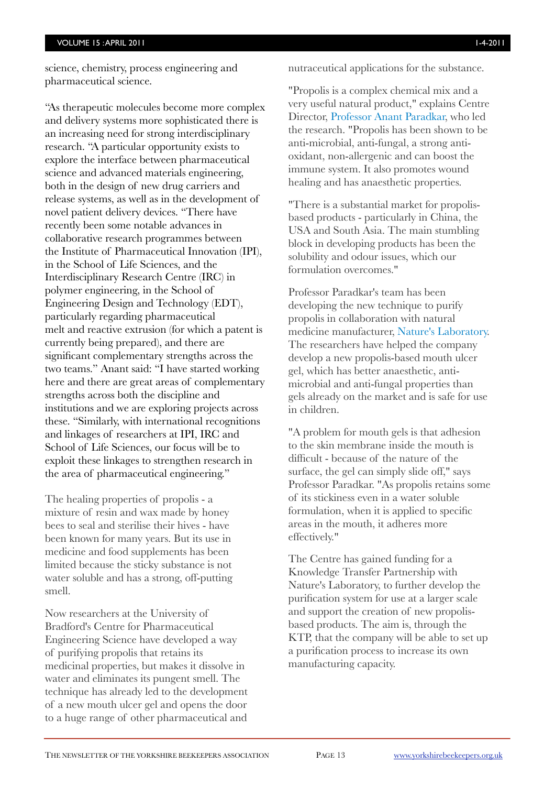science, chemistry, process engineering and pharmaceutical science.

"As therapeutic molecules become more complex and delivery systems more sophisticated there is an increasing need for strong interdisciplinary research. "A particular opportunity exists to explore the interface between pharmaceutical science and advanced materials engineering, both in the design of new drug carriers and release systems, as well as in the development of novel patient delivery devices. "There have recently been some notable advances in collaborative research programmes between the Institute of Pharmaceutical Innovation (IPI), in the School of Life Sciences, and the Interdisciplinary Research Centre (IRC) in polymer engineering, in the School of Engineering Design and Technology (EDT), particularly regarding pharmaceutical melt and reactive extrusion (for which a patent is currently being prepared), and there are significant complementary strengths across the two teams." Anant said: "I have started working here and there are great areas of complementary strengths across both the discipline and institutions and we are exploring projects across these. "Similarly, with international recognitions and linkages of researchers at IPI, IRC and School of Life Sciences, our focus will be to exploit these linkages to strengthen research in the area of pharmaceutical engineering."

The healing properties of propolis - a mixture of resin and wax made by honey bees to seal and sterilise their hives - have been known for many years. But its use in medicine and food supplements has been limited because the sticky substance is not water soluble and has a strong, off-putting smell.

Now researchers at the University of Bradford's Centre for Pharmaceutical Engineering Science have developed a way of purifying propolis that retains its medicinal properties, but makes it dissolve in water and eliminates its pungent smell. The technique has already led to the development of a new mouth ulcer gel and opens the door to a huge range of other pharmaceutical and nutraceutical applications for the substance.

"Propolis is a complex chemical mix and a very useful natural product," explains Centre Director, [Professor Anant Paradkar,](http://www.pharmaceutical-engineering.brad.ac.uk/our-team/core-staff/anant-paradkar/) who led the research. "Propolis has been shown to be anti-microbial, anti-fungal, a strong antioxidant, non-allergenic and can boost the immune system. It also promotes wound healing and has anaesthetic properties.

"There is a substantial market for propolisbased products - particularly in China, the USA and South Asia. The main stumbling block in developing products has been the solubility and odour issues, which our formulation overcomes."

Professor Paradkar's team has been developing the new technique to purify propolis in collaboration with natural medicine manufacturer, [Nature's Laboratory](http://natureslaboratory.com/). The researchers have helped the company develop a new propolis-based mouth ulcer gel, which has better anaesthetic, antimicrobial and anti-fungal properties than gels already on the market and is safe for use in children.

"A problem for mouth gels is that adhesion to the skin membrane inside the mouth is difficult - because of the nature of the surface, the gel can simply slide off," says Professor Paradkar. "As propolis retains some of its stickiness even in a water soluble formulation, when it is applied to specific areas in the mouth, it adheres more effectively."

The Centre has gained funding for a Knowledge Transfer Partnership with Nature's Laboratory, to further develop the purification system for use at a larger scale and support the creation of new propolisbased products. The aim is, through the KTP, that the company will be able to set up a purification process to increase its own manufacturing capacity.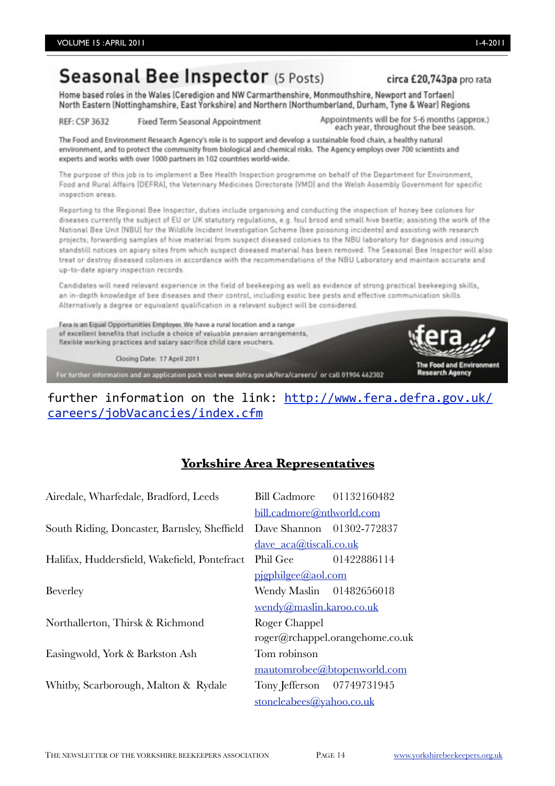# Seasonal Bee Inspector (5 Posts)

#### circa £20.743pa pro rata

Home based roles in the Wales (Ceredigion and NW Carmarthenshire, Monmouthshire, Newport and Torfaen) North Eastern (Nottinghamshire, East Yorkshire) and Northern (Northumberland, Durham, Tyne & Wear) Regions

REF: CSP 3632 Fixed Term Seasonal Appointment Appointments will be for 5-6 months (approx.) each year, throughout the bee season.

The Food and Environment Research Agency's role is to support and develop a sustainable food chain, a healthy natural environment, and to protect the community from biological and chemical risks. The Agency employs over 700 scientists and experts and works with over 1000 partners in 102 countries world-wide.

The purpose of this job is to implement a Bee Health Inspection programme on behalf of the Department for Environment, Food and Rural Affairs (DEFRA), the Veterinary Medicines Directorate [VMD] and the Welsh Assembly Government for specific inspection areas.

Reporting to the Regional Bee Inspector, duties include organising and conducting the inspection of honey bee colonies for diseases currently the subject of EU or UK statutory regulations, e.g. foul brood and small hive beetle; assisting the work of the National Bee Unit (NBU) for the Wildlife Incident Investigation Scheme (bee poisoning incidents) and assisting with research projects; forwarding samples of hive material from suspect diseased colonies to the NBU laboratory for diagnosis and issuing standstill notices on apiary sites from which suspect diseased material has been removed. The Seasonal Bee Inspector will also treat or destroy diseased colonies in accordance with the recommendations of the NBU Laboratory and maintain accurate and up-to-date apiary inspection records.

Candidates will need relevant experience in the field of beekeeping as well as evidence of strong practical beekeeping skills, an in-depth knowledge of bee diseases and their control, including exotic bee pests and effective communication skills. Alternatively a degree or equivalent qualification in a relevant subject will be considered.

Fera is an Equal Opportunities Employer. We have a rural location and a range of excellent benefits that include a choice of valuable pension arrangements, flexible working practices and salary sacrifice child care vouchers.

Closing Date: 17 April 2011

For further information and an application pack visit www.defra.gov.uk/fera/careers/ or call 01904 462302



## further information on the link: http://www.fera.defra.gov.uk/ [careers/jobVacancies/index.cfm](http://www.fera.defra.gov.uk/careers/jobVacancies/index.cfm)

## **Yorkshire Area Representatives**

| Airedale, Wharfedale, Bradford, Leeds        | Bill Cadmore 01132160482    |                                 |
|----------------------------------------------|-----------------------------|---------------------------------|
|                                              | bill.cadmore@ntlworld.com   |                                 |
| South Riding, Doncaster, Barnsley, Sheffield | Dave Shannon 01302-772837   |                                 |
|                                              | $d$ ave $aca@tiscali.co.uk$ |                                 |
| Halifax, Huddersfield, Wakefield, Pontefract | Phil Gee 01422886114        |                                 |
|                                              | pigphilgee@aol.com          |                                 |
| <b>Beverley</b>                              | Wendy Maslin 01482656018    |                                 |
|                                              | wendy@maslin.karoo.co.uk    |                                 |
| Northallerton, Thirsk & Richmond             | Roger Chappel               |                                 |
|                                              |                             | roger@rchappel.orangehome.co.uk |
| Easingwold, York & Barkston Ash              | Tom robinson                |                                 |
|                                              |                             | mautomrobee@btopenworld.com     |
| Whitby, Scarborough, Malton & Rydale         | Tony Jefferson 07749731945  |                                 |
|                                              | stoneleabees@yahoo.co.uk    |                                 |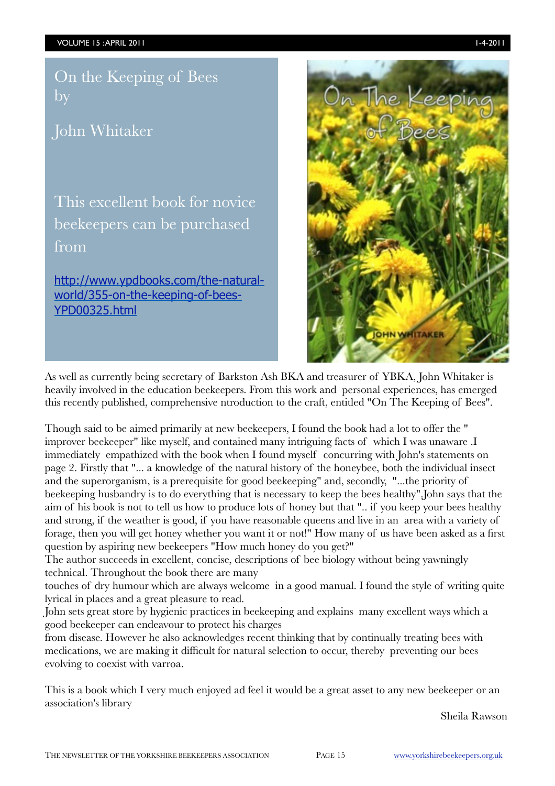On the Keeping of Bees by

John Whitaker

This excellent book for novice beekeepers can be purchased from

[http://www.ypdbooks.com/the-natural](http://www.ypdbooks.com/the-natural-world/355-on-the-keeping-of-bees-YPD00325.html)[world/355-on-the-keeping-of-bees-](http://www.ypdbooks.com/the-natural-world/355-on-the-keeping-of-bees-YPD00325.html)[YPD00325.html](http://www.ypdbooks.com/the-natural-world/355-on-the-keeping-of-bees-YPD00325.html)



As well as currently being secretary of Barkston Ash BKA and treasurer of YBKA, John Whitaker is heavily involved in the education beekeepers. From this work and personal experiences, has emerged this recently published, comprehensive ntroduction to the craft, entitled "On The Keeping of Bees".

Though said to be aimed primarily at new beekeepers, I found the book had a lot to offer the " improver beekeeper" like myself, and contained many intriguing facts of which I was unaware .I immediately empathized with the book when I found myself concurring with John's statements on page 2. Firstly that "... a knowledge of the natural history of the honeybee, both the individual insect and the superorganism, is a prerequisite for good beekeeping" and, secondly, "...the priority of beekeeping husbandry is to do everything that is necessary to keep the bees healthy".John says that the aim of his book is not to tell us how to produce lots of honey but that ".. if you keep your bees healthy and strong, if the weather is good, if you have reasonable queens and live in an area with a variety of forage, then you will get honey whether you want it or not!" How many of us have been asked as a first question by aspiring new beekeepers "How much honey do you get?"

The author succeeds in excellent, concise, descriptions of bee biology without being yawningly technical. Throughout the book there are many

touches of dry humour which are always welcome in a good manual. I found the style of writing quite lyrical in places and a great pleasure to read.

John sets great store by hygienic practices in beekeeping and explains many excellent ways which a good beekeeper can endeavour to protect his charges

from disease. However he also acknowledges recent thinking that by continually treating bees with medications, we are making it difficult for natural selection to occur, thereby preventing our bees evolving to coexist with varroa.

This is a book which I very much enjoyed ad feel it would be a great asset to any new beekeeper or an association's library

Sheila Rawson